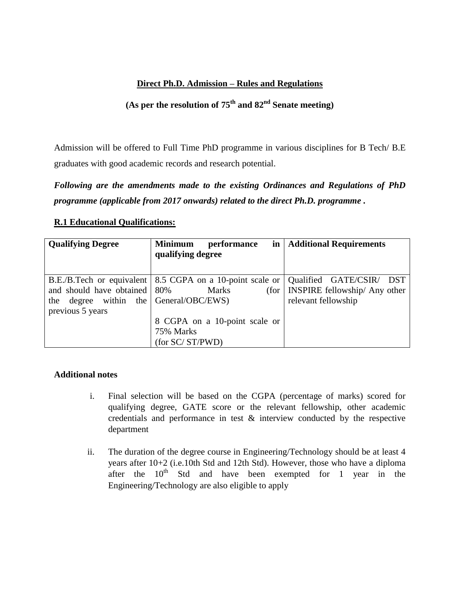## **Direct Ph.D. Admission – Rules and Regulations**

# **(As per the resolution of 75th and 82nd Senate meeting)**

Admission will be offered to Full Time PhD programme in various disciplines for B Tech/ B.E graduates with good academic records and research potential.

*Following are the amendments made to the existing Ordinances and Regulations of PhD programme (applicable from 2017 onwards) related to the direct Ph.D. programme .*

## **R.1 Educational Qualifications:**

| <b>Qualifying Degree</b>               | <b>Minimum</b><br>performance                                                  | in   Additional Requirements         |
|----------------------------------------|--------------------------------------------------------------------------------|--------------------------------------|
|                                        | qualifying degree                                                              |                                      |
|                                        |                                                                                |                                      |
|                                        | B.E./B.Tech or equivalent 8.5 CGPA on a 10-point scale or Qualified GATE/CSIR/ | <b>DST</b>                           |
| and should have obtained   80%         | <b>Marks</b>                                                                   | (for   INSPIRE fellowship/ Any other |
| the degree within the General/OBC/EWS) |                                                                                | relevant fellowship                  |
| previous 5 years                       |                                                                                |                                      |
|                                        | 8 CGPA on a 10-point scale or                                                  |                                      |
|                                        | 75% Marks                                                                      |                                      |
|                                        | (for SC/ ST/PWD)                                                               |                                      |

## **Additional notes**

- i. Final selection will be based on the CGPA (percentage of marks) scored for qualifying degree, GATE score or the relevant fellowship, other academic credentials and performance in test & interview conducted by the respective department
- ii. The duration of the degree course in Engineering/Technology should be at least 4 years after 10+2 (i.e.10th Std and 12th Std). However, those who have a diploma after the  $10^{th}$  Std and have been exempted for 1 year in the Engineering/Technology are also eligible to apply